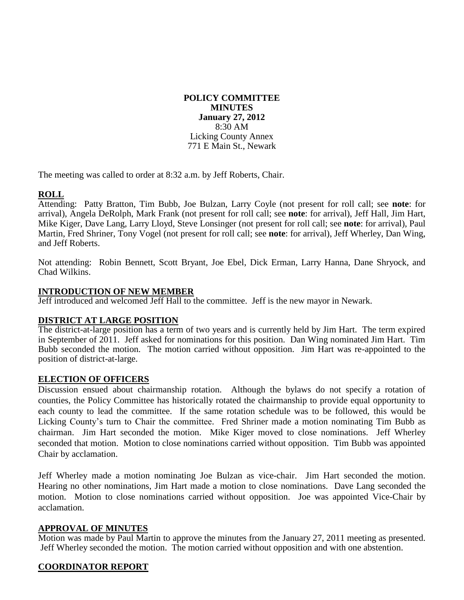#### **POLICY COMMITTEE MINUTES January 27, 2012** 8:30 AM Licking County Annex 771 E Main St., Newark

The meeting was called to order at 8:32 a.m. by Jeff Roberts, Chair.

# **ROLL**

Attending: Patty Bratton, Tim Bubb, Joe Bulzan, Larry Coyle (not present for roll call; see **note**: for arrival), Angela DeRolph, Mark Frank (not present for roll call; see **note**: for arrival), Jeff Hall, Jim Hart, Mike Kiger, Dave Lang, Larry Lloyd, Steve Lonsinger (not present for roll call; see **note**: for arrival), Paul Martin, Fred Shriner, Tony Vogel (not present for roll call; see **note**: for arrival), Jeff Wherley, Dan Wing, and Jeff Roberts.

Not attending: Robin Bennett, Scott Bryant, Joe Ebel, Dick Erman, Larry Hanna, Dane Shryock, and Chad Wilkins.

#### **INTRODUCTION OF NEW MEMBER**

Jeff introduced and welcomed Jeff Hall to the committee. Jeff is the new mayor in Newark.

## **DISTRICT AT LARGE POSITION**

The district-at-large position has a term of two years and is currently held by Jim Hart. The term expired in September of 2011. Jeff asked for nominations for this position. Dan Wing nominated Jim Hart. Tim Bubb seconded the motion. The motion carried without opposition. Jim Hart was re-appointed to the position of district-at-large.

## **ELECTION OF OFFICERS**

Discussion ensued about chairmanship rotation. Although the bylaws do not specify a rotation of counties, the Policy Committee has historically rotated the chairmanship to provide equal opportunity to each county to lead the committee. If the same rotation schedule was to be followed, this would be Licking County's turn to Chair the committee. Fred Shriner made a motion nominating Tim Bubb as chairman. Jim Hart seconded the motion. Mike Kiger moved to close nominations. Jeff Wherley seconded that motion. Motion to close nominations carried without opposition. Tim Bubb was appointed Chair by acclamation.

Jeff Wherley made a motion nominating Joe Bulzan as vice-chair. Jim Hart seconded the motion. Hearing no other nominations, Jim Hart made a motion to close nominations. Dave Lang seconded the motion. Motion to close nominations carried without opposition. Joe was appointed Vice-Chair by acclamation.

## **APPROVAL OF MINUTES**

Motion was made by Paul Martin to approve the minutes from the January 27, 2011 meeting as presented. Jeff Wherley seconded the motion. The motion carried without opposition and with one abstention.

## **COORDINATOR REPORT**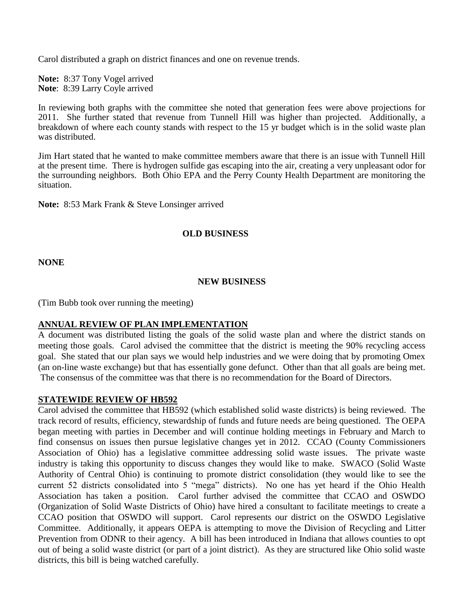Carol distributed a graph on district finances and one on revenue trends.

**Note:** 8:37 Tony Vogel arrived **Note**: 8:39 Larry Coyle arrived

In reviewing both graphs with the committee she noted that generation fees were above projections for 2011. She further stated that revenue from Tunnell Hill was higher than projected. Additionally, a breakdown of where each county stands with respect to the 15 yr budget which is in the solid waste plan was distributed.

Jim Hart stated that he wanted to make committee members aware that there is an issue with Tunnell Hill at the present time. There is hydrogen sulfide gas escaping into the air, creating a very unpleasant odor for the surrounding neighbors. Both Ohio EPA and the Perry County Health Department are monitoring the situation.

**Note:** 8:53 Mark Frank & Steve Lonsinger arrived

#### **OLD BUSINESS**

**NONE**

#### **NEW BUSINESS**

(Tim Bubb took over running the meeting)

#### **ANNUAL REVIEW OF PLAN IMPLEMENTATION**

A document was distributed listing the goals of the solid waste plan and where the district stands on meeting those goals. Carol advised the committee that the district is meeting the 90% recycling access goal. She stated that our plan says we would help industries and we were doing that by promoting Omex (an on-line waste exchange) but that has essentially gone defunct. Other than that all goals are being met. The consensus of the committee was that there is no recommendation for the Board of Directors.

#### **STATEWIDE REVIEW OF HB592**

Carol advised the committee that HB592 (which established solid waste districts) is being reviewed. The track record of results, efficiency, stewardship of funds and future needs are being questioned. The OEPA began meeting with parties in December and will continue holding meetings in February and March to find consensus on issues then pursue legislative changes yet in 2012. CCAO (County Commissioners Association of Ohio) has a legislative committee addressing solid waste issues. The private waste industry is taking this opportunity to discuss changes they would like to make. SWACO (Solid Waste Authority of Central Ohio) is continuing to promote district consolidation (they would like to see the current 52 districts consolidated into 5 "mega" districts). No one has yet heard if the Ohio Health Association has taken a position. Carol further advised the committee that CCAO and OSWDO (Organization of Solid Waste Districts of Ohio) have hired a consultant to facilitate meetings to create a CCAO position that OSWDO will support. Carol represents our district on the OSWDO Legislative Committee. Additionally, it appears OEPA is attempting to move the Division of Recycling and Litter Prevention from ODNR to their agency. A bill has been introduced in Indiana that allows counties to opt out of being a solid waste district (or part of a joint district). As they are structured like Ohio solid waste districts, this bill is being watched carefully.